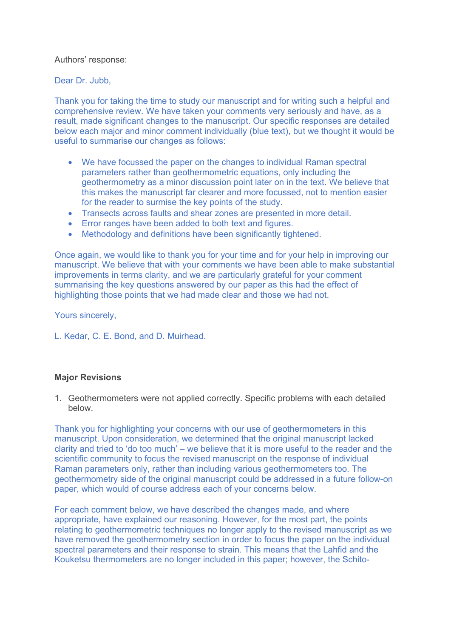Authors' response:

Dear Dr. Jubb,

Thank you for taking the time to study our manuscript and for writing such a helpful and comprehensive review. We have taken your comments very seriously and have, as a result, made significant changes to the manuscript. Our specific responses are detailed below each major and minor comment individually (blue text), but we thought it would be useful to summarise our changes as follows:

- We have focussed the paper on the changes to individual Raman spectral parameters rather than geothermometric equations, only including the geothermometry as a minor discussion point later on in the text. We believe that this makes the manuscript far clearer and more focussed, not to mention easier for the reader to surmise the key points of the study.
- Transects across faults and shear zones are presented in more detail.
- Error ranges have been added to both text and figures.
- Methodology and definitions have been significantly tightened.

Once again, we would like to thank you for your time and for your help in improving our manuscript. We believe that with your comments we have been able to make substantial improvements in terms clarity, and we are particularly grateful for your comment summarising the key questions answered by our paper as this had the effect of highlighting those points that we had made clear and those we had not.

Yours sincerely,

L. Kedar, C. E. Bond, and D. Muirhead.

## **Major Revisions**

1. Geothermometers were not applied correctly. Specific problems with each detailed below.

Thank you for highlighting your concerns with our use of geothermometers in this manuscript. Upon consideration, we determined that the original manuscript lacked clarity and tried to 'do too much' – we believe that it is more useful to the reader and the scientific community to focus the revised manuscript on the response of individual Raman parameters only, rather than including various geothermometers too. The geothermometry side of the original manuscript could be addressed in a future follow-on paper, which would of course address each of your concerns below.

For each comment below, we have described the changes made, and where appropriate, have explained our reasoning. However, for the most part, the points relating to geothermometric techniques no longer apply to the revised manuscript as we have removed the geothermometry section in order to focus the paper on the individual spectral parameters and their response to strain. This means that the Lahfid and the Kouketsu thermometers are no longer included in this paper; however, the Schito-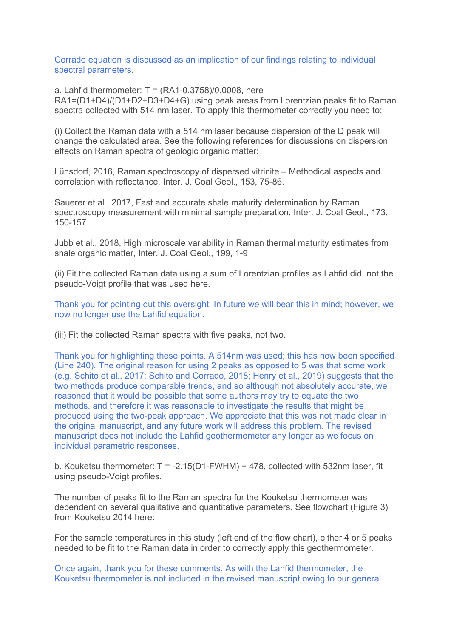Corrado equation is discussed as an implication of our findings relating to individual spectral parameters.

a. Lahfid thermometer:  $T = (RA1-0.3758)/0.0008$ . here RA1=(D1+D4)/(D1+D2+D3+D4+G) using peak areas from Lorentzian peaks fit to Raman spectra collected with 514 nm laser. To apply this thermometer correctly you need to:

(i) Collect the Raman data with a 514 nm laser because dispersion of the D peak will change the calculated area. See the following references for discussions on dispersion effects on Raman spectra of geologic organic matter:

Lünsdorf, 2016, Raman spectroscopy of dispersed vitrinite – Methodical aspects and correlation with reflectance, Inter. J. Coal Geol., 153, 75-86.

Sauerer et al., 2017, Fast and accurate shale maturity determination by Raman spectroscopy measurement with minimal sample preparation, Inter. J. Coal Geol., 173, 150-157

Jubb et al., 2018, High microscale variability in Raman thermal maturity estimates from shale organic matter, Inter. J. Coal Geol., 199, 1-9

(ii) Fit the collected Raman data using a sum of Lorentzian profiles as Lahfid did, not the pseudo-Voigt profile that was used here.

Thank you for pointing out this oversight. In future we will bear this in mind; however, we now no longer use the Lahfid equation.

(iii) Fit the collected Raman spectra with five peaks, not two.

Thank you for highlighting these points. A 514nm was used; this has now been specified (Line 240). The original reason for using 2 peaks as opposed to 5 was that some work (e.g. Schito et al., 2017; Schito and Corrado, 2018; Henry et al., 2019) suggests that the two methods produce comparable trends, and so although not absolutely accurate, we reasoned that it would be possible that some authors may try to equate the two methods, and therefore it was reasonable to investigate the results that might be produced using the two-peak approach. We appreciate that this was not made clear in the original manuscript, and any future work will address this problem. The revised manuscript does not include the Lahfid geothermometer any longer as we focus on individual parametric responses.

b. Kouketsu thermometer:  $T = -2.15(D1-FWHM) + 478$ , collected with 532nm laser, fit using pseudo-Voigt profiles.

The number of peaks fit to the Raman spectra for the Kouketsu thermometer was dependent on several qualitative and quantitative parameters. See flowchart (Figure 3) from Kouketsu 2014 here:

For the sample temperatures in this study (left end of the flow chart), either 4 or 5 peaks needed to be fit to the Raman data in order to correctly apply this geothermometer.

Once again, thank you for these comments. As with the Lahfid thermometer, the Kouketsu thermometer is not included in the revised manuscript owing to our general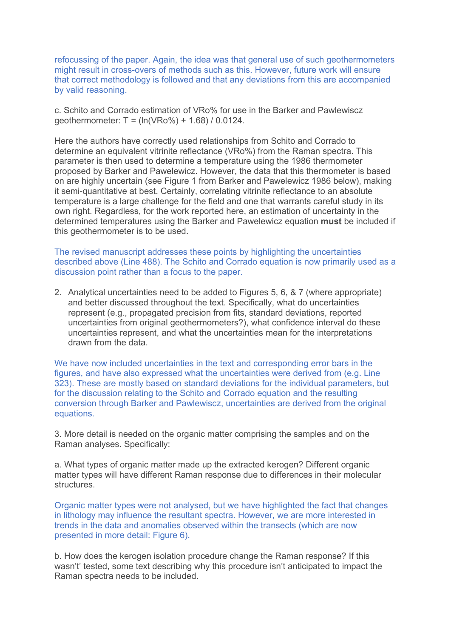refocussing of the paper. Again, the idea was that general use of such geothermometers might result in cross-overs of methods such as this. However, future work will ensure that correct methodology is followed and that any deviations from this are accompanied by valid reasoning.

c. Schito and Corrado estimation of VRo% for use in the Barker and Pawlewiscz geothermometer: T = (ln(VRo%) + 1.68) / 0.0124.

Here the authors have correctly used relationships from Schito and Corrado to determine an equivalent vitrinite reflectance (VRo%) from the Raman spectra. This parameter is then used to determine a temperature using the 1986 thermometer proposed by Barker and Pawelewicz. However, the data that this thermometer is based on are highly uncertain (see Figure 1 from Barker and Pawelewicz 1986 below), making it semi-quantitative at best. Certainly, correlating vitrinite reflectance to an absolute temperature is a large challenge for the field and one that warrants careful study in its own right. Regardless, for the work reported here, an estimation of uncertainty in the determined temperatures using the Barker and Pawelewicz equation **must** be included if this geothermometer is to be used.

The revised manuscript addresses these points by highlighting the uncertainties described above (Line 488). The Schito and Corrado equation is now primarily used as a discussion point rather than a focus to the paper.

2. Analytical uncertainties need to be added to Figures 5, 6, & 7 (where appropriate) and better discussed throughout the text. Specifically, what do uncertainties represent (e.g., propagated precision from fits, standard deviations, reported uncertainties from original geothermometers?), what confidence interval do these uncertainties represent, and what the uncertainties mean for the interpretations drawn from the data.

We have now included uncertainties in the text and corresponding error bars in the figures, and have also expressed what the uncertainties were derived from (e.g. Line 323). These are mostly based on standard deviations for the individual parameters, but for the discussion relating to the Schito and Corrado equation and the resulting conversion through Barker and Pawlewiscz, uncertainties are derived from the original equations.

3. More detail is needed on the organic matter comprising the samples and on the Raman analyses. Specifically:

a. What types of organic matter made up the extracted kerogen? Different organic matter types will have different Raman response due to differences in their molecular structures.

Organic matter types were not analysed, but we have highlighted the fact that changes in lithology may influence the resultant spectra. However, we are more interested in trends in the data and anomalies observed within the transects (which are now presented in more detail: Figure 6).

b. How does the kerogen isolation procedure change the Raman response? If this wasn't' tested, some text describing why this procedure isn't anticipated to impact the Raman spectra needs to be included.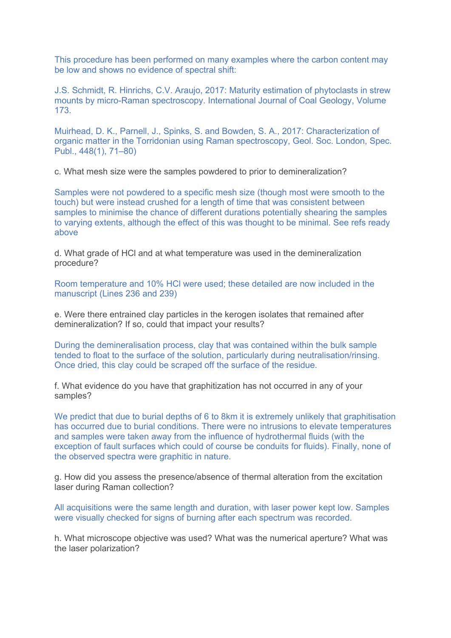This procedure has been performed on many examples where the carbon content may be low and shows no evidence of spectral shift:

J.S. Schmidt, R. Hinrichs, C.V. Araujo, 2017: Maturity estimation of phytoclasts in strew mounts by micro-Raman spectroscopy. International Journal of Coal Geology, Volume 173.

Muirhead, D. K., Parnell, J., Spinks, S. and Bowden, S. A., 2017: Characterization of organic matter in the Torridonian using Raman spectroscopy, Geol. Soc. London, Spec. Publ., 448(1), 71–80)

c. What mesh size were the samples powdered to prior to demineralization?

Samples were not powdered to a specific mesh size (though most were smooth to the touch) but were instead crushed for a length of time that was consistent between samples to minimise the chance of different durations potentially shearing the samples to varying extents, although the effect of this was thought to be minimal. See refs ready above

d. What grade of HCl and at what temperature was used in the demineralization procedure?

Room temperature and 10% HCl were used; these detailed are now included in the manuscript (Lines 236 and 239)

e. Were there entrained clay particles in the kerogen isolates that remained after demineralization? If so, could that impact your results?

During the demineralisation process, clay that was contained within the bulk sample tended to float to the surface of the solution, particularly during neutralisation/rinsing. Once dried, this clay could be scraped off the surface of the residue.

f. What evidence do you have that graphitization has not occurred in any of your samples?

We predict that due to burial depths of 6 to 8km it is extremely unlikely that graphitisation has occurred due to burial conditions. There were no intrusions to elevate temperatures and samples were taken away from the influence of hydrothermal fluids (with the exception of fault surfaces which could of course be conduits for fluids). Finally, none of the observed spectra were graphitic in nature.

g. How did you assess the presence/absence of thermal alteration from the excitation laser during Raman collection?

All acquisitions were the same length and duration, with laser power kept low. Samples were visually checked for signs of burning after each spectrum was recorded.

h. What microscope objective was used? What was the numerical aperture? What was the laser polarization?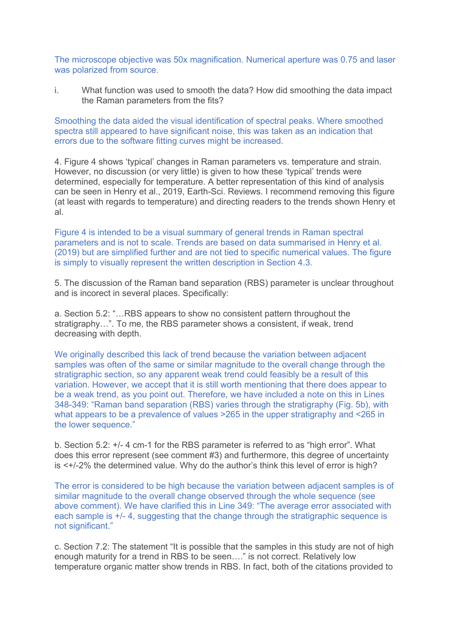The microscope objective was 50x magnification. Numerical aperture was 0.75 and laser was polarized from source.

i. What function was used to smooth the data? How did smoothing the data impact the Raman parameters from the fits?

Smoothing the data aided the visual identification of spectral peaks. Where smoothed spectra still appeared to have significant noise, this was taken as an indication that errors due to the software fitting curves might be increased.

4. Figure 4 shows 'typical' changes in Raman parameters vs. temperature and strain. However, no discussion (or very little) is given to how these 'typical' trends were determined, especially for temperature. A better representation of this kind of analysis can be seen in Henry et al., 2019, Earth-Sci. Reviews. I recommend removing this figure (at least with regards to temperature) and directing readers to the trends shown Henry et al.

Figure 4 is intended to be a visual summary of general trends in Raman spectral parameters and is not to scale. Trends are based on data summarised in Henry et al. (2019) but are simplified further and are not tied to specific numerical values. The figure is simply to visually represent the written description in Section 4.3.

5. The discussion of the Raman band separation (RBS) parameter is unclear throughout and is incorect in several places. Specifically:

a. Section 5.2: "…RBS appears to show no consistent pattern throughout the stratigraphy…". To me, the RBS parameter shows a consistent, if weak, trend decreasing with depth.

We originally described this lack of trend because the variation between adjacent samples was often of the same or similar magnitude to the overall change through the stratigraphic section, so any apparent weak trend could feasibly be a result of this variation. However, we accept that it is still worth mentioning that there does appear to be a weak trend, as you point out. Therefore, we have included a note on this in Lines 348-349: "Raman band separation (RBS) varies through the stratigraphy (Fig. 5b), with what appears to be a prevalence of values >265 in the upper stratigraphy and <265 in the lower sequence."

b. Section 5.2: +/- 4 cm-1 for the RBS parameter is referred to as "high error". What does this error represent (see comment #3) and furthermore, this degree of uncertainty is <+/-2% the determined value. Why do the author's think this level of error is high?

The error is considered to be high because the variation between adjacent samples is of similar magnitude to the overall change observed through the whole sequence (see above comment). We have clarified this in Line 349: "The average error associated with each sample is +/- 4, suggesting that the change through the stratigraphic sequence is not significant."

c. Section 7.2: The statement "It is possible that the samples in this study are not of high enough maturity for a trend in RBS to be seen…." is not correct. Relatively low temperature organic matter show trends in RBS. In fact, both of the citations provided to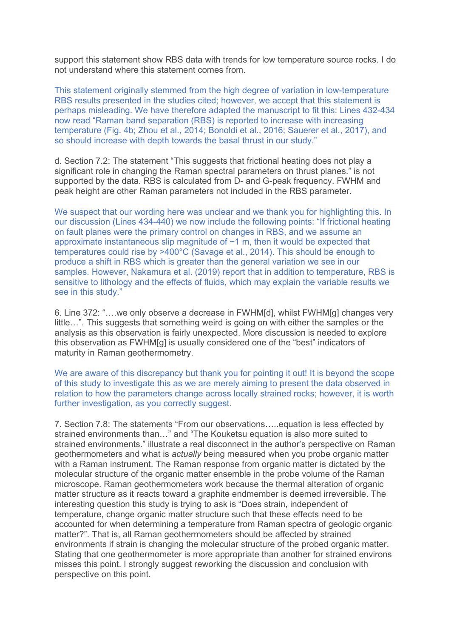support this statement show RBS data with trends for low temperature source rocks. I do not understand where this statement comes from.

This statement originally stemmed from the high degree of variation in low-temperature RBS results presented in the studies cited; however, we accept that this statement is perhaps misleading. We have therefore adapted the manuscript to fit this: Lines 432-434 now read "Raman band separation (RBS) is reported to increase with increasing temperature (Fig. 4b; Zhou et al., 2014; Bonoldi et al., 2016; Sauerer et al., 2017), and so should increase with depth towards the basal thrust in our study."

d. Section 7.2: The statement "This suggests that frictional heating does not play a significant role in changing the Raman spectral parameters on thrust planes." is not supported by the data. RBS is calculated from D- and G-peak frequency. FWHM and peak height are other Raman parameters not included in the RBS parameter.

We suspect that our wording here was unclear and we thank you for highlighting this. In our discussion (Lines 434-440) we now include the following points: "If frictional heating on fault planes were the primary control on changes in RBS, and we assume an approximate instantaneous slip magnitude of ~1 m, then it would be expected that temperatures could rise by >400°C (Savage et al., 2014). This should be enough to produce a shift in RBS which is greater than the general variation we see in our samples. However, Nakamura et al. (2019) report that in addition to temperature, RBS is sensitive to lithology and the effects of fluids, which may explain the variable results we see in this study."

6. Line 372: "….we only observe a decrease in FWHM[d], whilst FWHM[g] changes very little…". This suggests that something weird is going on with either the samples or the analysis as this observation is fairly unexpected. More discussion is needed to explore this observation as FWHM[g] is usually considered one of the "best" indicators of maturity in Raman geothermometry.

We are aware of this discrepancy but thank you for pointing it out! It is beyond the scope of this study to investigate this as we are merely aiming to present the data observed in relation to how the parameters change across locally strained rocks; however, it is worth further investigation, as you correctly suggest.

7. Section 7.8: The statements "From our observations…..equation is less effected by strained environments than…" and "The Kouketsu equation is also more suited to strained environments." illustrate a real disconnect in the author's perspective on Raman geothermometers and what is *actually* being measured when you probe organic matter with a Raman instrument. The Raman response from organic matter is dictated by the molecular structure of the organic matter ensemble in the probe volume of the Raman microscope. Raman geothermometers work because the thermal alteration of organic matter structure as it reacts toward a graphite endmember is deemed irreversible. The interesting question this study is trying to ask is "Does strain, independent of temperature, change organic matter structure such that these effects need to be accounted for when determining a temperature from Raman spectra of geologic organic matter?". That is, all Raman geothermometers should be affected by strained environments if strain is changing the molecular structure of the probed organic matter. Stating that one geothermometer is more appropriate than another for strained environs misses this point. I strongly suggest reworking the discussion and conclusion with perspective on this point.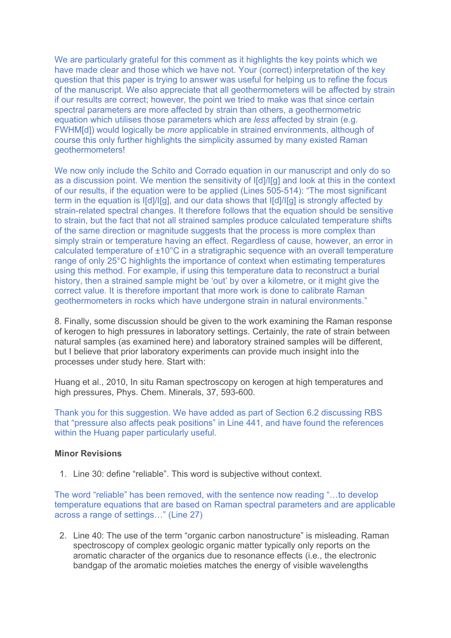We are particularly grateful for this comment as it highlights the key points which we have made clear and those which we have not. Your (correct) interpretation of the key question that this paper is trying to answer was useful for helping us to refine the focus of the manuscript. We also appreciate that all geothermometers will be affected by strain if our results are correct; however, the point we tried to make was that since certain spectral parameters are more affected by strain than others, a geothermometric equation which utilises those parameters which are *less* affected by strain (e.g. FWHM[d]) would logically be *more* applicable in strained environments, although of course this only further highlights the simplicity assumed by many existed Raman geothermometers!

We now only include the Schito and Corrado equation in our manuscript and only do so as a discussion point. We mention the sensitivity of I[d]/I[g] and look at this in the context of our results, if the equation were to be applied (Lines 505-514): "The most significant term in the equation is I[d]/I[g], and our data shows that I[d]/I[g] is strongly affected by strain-related spectral changes. It therefore follows that the equation should be sensitive to strain, but the fact that not all strained samples produce calculated temperature shifts of the same direction or magnitude suggests that the process is more complex than simply strain or temperature having an effect. Regardless of cause, however, an error in calculated temperature of ±10°C in a stratigraphic sequence with an overall temperature range of only 25°C highlights the importance of context when estimating temperatures using this method. For example, if using this temperature data to reconstruct a burial history, then a strained sample might be 'out' by over a kilometre, or it might give the correct value. It is therefore important that more work is done to calibrate Raman geothermometers in rocks which have undergone strain in natural environments."

8. Finally, some discussion should be given to the work examining the Raman response of kerogen to high pressures in laboratory settings. Certainly, the rate of strain between natural samples (as examined here) and laboratory strained samples will be different, but I believe that prior laboratory experiments can provide much insight into the processes under study here. Start with:

Huang et al., 2010, In situ Raman spectroscopy on kerogen at high temperatures and high pressures, Phys. Chem. Minerals, 37, 593-600.

Thank you for this suggestion. We have added as part of Section 6.2 discussing RBS that "pressure also affects peak positions" in Line 441, and have found the references within the Huang paper particularly useful.

## **Minor Revisions**

1. Line 30: define "reliable". This word is subjective without context.

The word "reliable" has been removed, with the sentence now reading "…to develop temperature equations that are based on Raman spectral parameters and are applicable across a range of settings…" (Line 27)

2. Line 40: The use of the term "organic carbon nanostructure" is misleading. Raman spectroscopy of complex geologic organic matter typically only reports on the aromatic character of the organics due to resonance effects (i.e., the electronic bandgap of the aromatic moieties matches the energy of visible wavelengths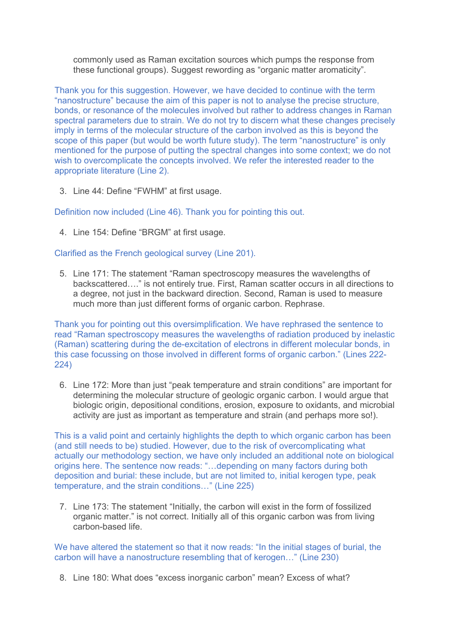commonly used as Raman excitation sources which pumps the response from these functional groups). Suggest rewording as "organic matter aromaticity".

Thank you for this suggestion. However, we have decided to continue with the term "nanostructure" because the aim of this paper is not to analyse the precise structure, bonds, or resonance of the molecules involved but rather to address changes in Raman spectral parameters due to strain. We do not try to discern what these changes precisely imply in terms of the molecular structure of the carbon involved as this is beyond the scope of this paper (but would be worth future study). The term "nanostructure" is only mentioned for the purpose of putting the spectral changes into some context; we do not wish to overcomplicate the concepts involved. We refer the interested reader to the appropriate literature (Line 2).

3. Line 44: Define "FWHM" at first usage.

Definition now included (Line 46). Thank you for pointing this out.

4. Line 154: Define "BRGM" at first usage.

Clarified as the French geological survey (Line 201).

5. Line 171: The statement "Raman spectroscopy measures the wavelengths of backscattered…." is not entirely true. First, Raman scatter occurs in all directions to a degree, not just in the backward direction. Second, Raman is used to measure much more than just different forms of organic carbon. Rephrase.

Thank you for pointing out this oversimplification. We have rephrased the sentence to read "Raman spectroscopy measures the wavelengths of radiation produced by inelastic (Raman) scattering during the de-excitation of electrons in different molecular bonds, in this case focussing on those involved in different forms of organic carbon." (Lines 222- 224)

6. Line 172: More than just "peak temperature and strain conditions" are important for determining the molecular structure of geologic organic carbon. I would argue that biologic origin, depositional conditions, erosion, exposure to oxidants, and microbial activity are just as important as temperature and strain (and perhaps more so!).

This is a valid point and certainly highlights the depth to which organic carbon has been (and still needs to be) studied. However, due to the risk of overcomplicating what actually our methodology section, we have only included an additional note on biological origins here. The sentence now reads: "…depending on many factors during both deposition and burial: these include, but are not limited to, initial kerogen type, peak temperature, and the strain conditions…" (Line 225)

7. Line 173: The statement "Initially, the carbon will exist in the form of fossilized organic matter." is not correct. Initially all of this organic carbon was from living carbon-based life.

We have altered the statement so that it now reads: "In the initial stages of burial, the carbon will have a nanostructure resembling that of kerogen…" (Line 230)

8. Line 180: What does "excess inorganic carbon" mean? Excess of what?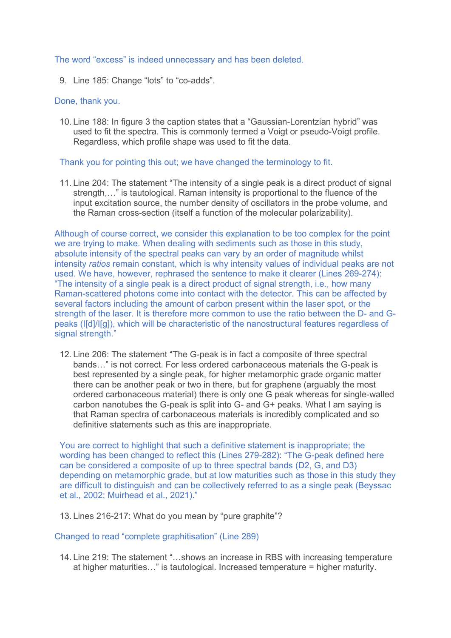The word "excess" is indeed unnecessary and has been deleted.

9. Line 185: Change "lots" to "co-adds".

## Done, thank you.

10. Line 188: In figure 3 the caption states that a "Gaussian-Lorentzian hybrid" was used to fit the spectra. This is commonly termed a Voigt or pseudo-Voigt profile. Regardless, which profile shape was used to fit the data.

## Thank you for pointing this out; we have changed the terminology to fit.

11. Line 204: The statement "The intensity of a single peak is a direct product of signal strength,…" is tautological. Raman intensity is proportional to the fluence of the input excitation source, the number density of oscillators in the probe volume, and the Raman cross-section (itself a function of the molecular polarizability).

Although of course correct, we consider this explanation to be too complex for the point we are trying to make. When dealing with sediments such as those in this study, absolute intensity of the spectral peaks can vary by an order of magnitude whilst intensity *ratios* remain constant, which is why intensity values of individual peaks are not used. We have, however, rephrased the sentence to make it clearer (Lines 269-274): "The intensity of a single peak is a direct product of signal strength, i.e., how many Raman-scattered photons come into contact with the detector. This can be affected by several factors including the amount of carbon present within the laser spot, or the strength of the laser. It is therefore more common to use the ratio between the D- and Gpeaks (I[d]/I[g]), which will be characteristic of the nanostructural features regardless of signal strength."

12. Line 206: The statement "The G-peak is in fact a composite of three spectral bands…" is not correct. For less ordered carbonaceous materials the G-peak is best represented by a single peak, for higher metamorphic grade organic matter there can be another peak or two in there, but for graphene (arguably the most ordered carbonaceous material) there is only one G peak whereas for single-walled carbon nanotubes the G-peak is split into G- and G+ peaks. What I am saying is that Raman spectra of carbonaceous materials is incredibly complicated and so definitive statements such as this are inappropriate.

You are correct to highlight that such a definitive statement is inappropriate; the wording has been changed to reflect this (Lines 279-282): "The G-peak defined here can be considered a composite of up to three spectral bands (D2, G, and D3) depending on metamorphic grade, but at low maturities such as those in this study they are difficult to distinguish and can be collectively referred to as a single peak (Beyssac et al., 2002; Muirhead et al., 2021)."

13. Lines 216-217: What do you mean by "pure graphite"?

Changed to read "complete graphitisation" (Line 289)

14. Line 219: The statement "…shows an increase in RBS with increasing temperature at higher maturities…" is tautological. Increased temperature = higher maturity.